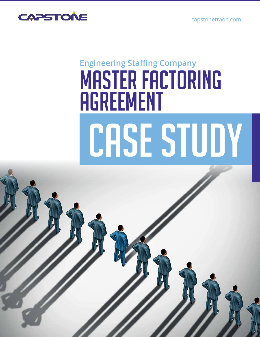capstonetrade.com



# CASE STUDY **Engineering Staffing Company** MASTER FACTORING **AGREEMENT**

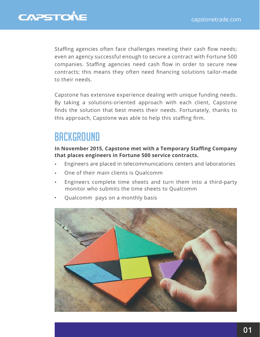#### **CAPSTONE**

Staffing agencies often face challenges meeting their cash flow needs; even an agency successful enough to secure a contract with Fortune 500 companies. Staffing agencies need cash flow in order to secure new contracts; this means they often need financing solutions tailor-made to their needs.

Capstone has extensive experience dealing with unique funding needs. By taking a solutions-oriented approach with each client, Capstone finds the solution that best meets their needs. Fortunately, thanks to this approach, Capstone was able to help this staffing firm.

#### **BACKGROUND**

**In November 2015, Capstone met with a Temporary Staffing Company that places engineers in Fortune 500 service contracts.**

- Engineers are placed in telecommunications centers and laboratories
- One of their main clients is Qualcomm
- Engineers complete time sheets and turn them into a third-party monitor who submits the time sheets to Qualcomm
- Qualcomm pays on a monthly basis